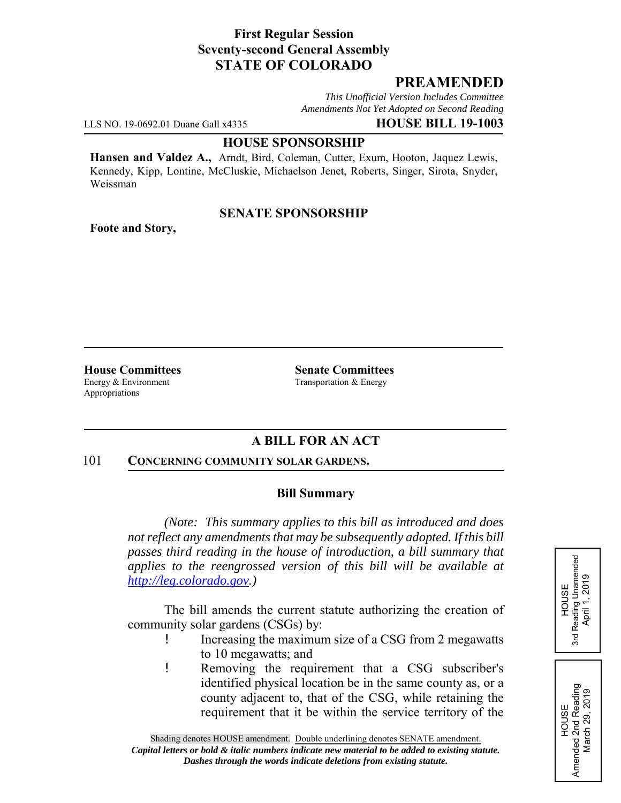## **First Regular Session Seventy-second General Assembly STATE OF COLORADO**

# **PREAMENDED**

*This Unofficial Version Includes Committee Amendments Not Yet Adopted on Second Reading*

LLS NO. 19-0692.01 Duane Gall x4335 **HOUSE BILL 19-1003**

#### **HOUSE SPONSORSHIP**

**Hansen and Valdez A.,** Arndt, Bird, Coleman, Cutter, Exum, Hooton, Jaquez Lewis, Kennedy, Kipp, Lontine, McCluskie, Michaelson Jenet, Roberts, Singer, Sirota, Snyder, Weissman

### **SENATE SPONSORSHIP**

**Foote and Story,**

Energy & Environment Transportation & Energy Appropriations

**House Committees Senate Committees**

## **A BILL FOR AN ACT**

#### 101 **CONCERNING COMMUNITY SOLAR GARDENS.**

### **Bill Summary**

*(Note: This summary applies to this bill as introduced and does not reflect any amendments that may be subsequently adopted. If this bill passes third reading in the house of introduction, a bill summary that applies to the reengrossed version of this bill will be available at http://leg.colorado.gov.)*

The bill amends the current statute authorizing the creation of community solar gardens (CSGs) by:

- ! Increasing the maximum size of a CSG from 2 megawatts to 10 megawatts; and
- ! Removing the requirement that a CSG subscriber's identified physical location be in the same county as, or a county adjacent to, that of the CSG, while retaining the requirement that it be within the service territory of the

HOUSE<br>Reading Unamended<br>April 1, 2019 3rd Reading Unamended April 1, 2019 3rd

HOUSE Amended 2nd Reading March 29, 2019

Amended 2nd Reading<br>March 29, 2019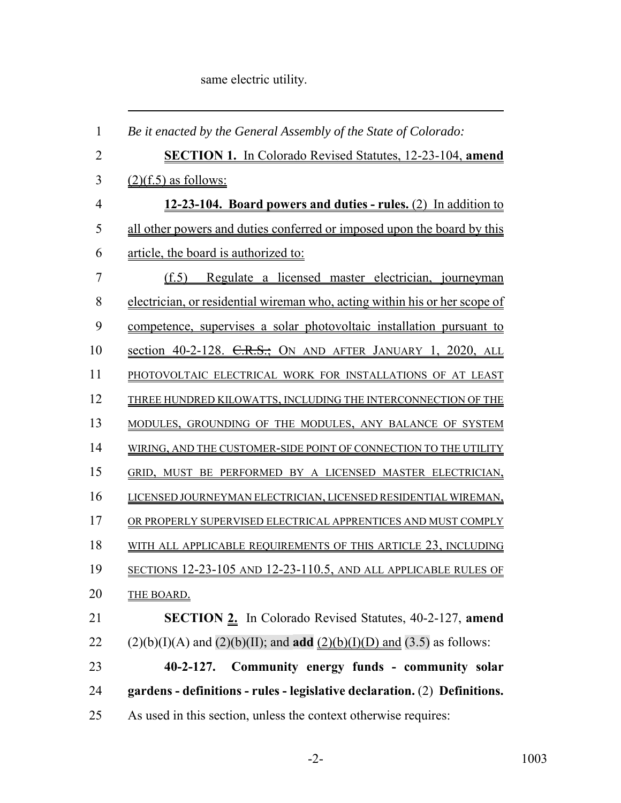same electric utility.

| $\mathbf{1}$   | Be it enacted by the General Assembly of the State of Colorado:                         |
|----------------|-----------------------------------------------------------------------------------------|
| $\overline{2}$ | <b>SECTION 1.</b> In Colorado Revised Statutes, 12-23-104, amend                        |
| 3              | $(2)(f.5)$ as follows:                                                                  |
| $\overline{4}$ | 12-23-104. Board powers and duties - rules. (2) In addition to                          |
| 5              | all other powers and duties conferred or imposed upon the board by this                 |
| 6              | article, the board is authorized to:                                                    |
| 7              | (f.5) Regulate a licensed master electrician, journeyman                                |
| 8              | electrician, or residential wireman who, acting within his or her scope of              |
| 9              | competence, supervises a solar photovoltaic installation pursuant to                    |
| 10             | section 40-2-128. C.R.S.; ON AND AFTER JANUARY 1, 2020, ALL                             |
| 11             | PHOTOVOLTAIC ELECTRICAL WORK FOR INSTALLATIONS OF AT LEAST                              |
| 12             | THREE HUNDRED KILOWATTS, INCLUDING THE INTERCONNECTION OF THE                           |
| 13             | MODULES, GROUNDING OF THE MODULES, ANY BALANCE OF SYSTEM                                |
| 14             | WIRING, AND THE CUSTOMER-SIDE POINT OF CONNECTION TO THE UTILITY                        |
| 15             | GRID, MUST BE PERFORMED BY A LICENSED MASTER ELECTRICIAN,                               |
| 16             | LICENSED JOURNEYMAN ELECTRICIAN, LICENSED RESIDENTIAL WIREMAN,                          |
| 17             | OR PROPERLY SUPERVISED ELECTRICAL APPRENTICES AND MUST COMPLY                           |
| 18             | WITH ALL APPLICABLE REQUIREMENTS OF THIS ARTICLE 23, INCLUDING                          |
| 19             | SECTIONS 12-23-105 AND 12-23-110.5, AND ALL APPLICABLE RULES OF                         |
| 20             | <b>THE BOARD.</b>                                                                       |
| 21             | SECTION 2. In Colorado Revised Statutes, 40-2-127, amend                                |
| 22             | $(2)(b)(I)(A)$ and $(2)(b)(II)$ ; and <b>add</b> $(2)(b)(I)(D)$ and $(3.5)$ as follows: |
| 23             | Community energy funds - community solar<br>$40 - 2 - 127$ .                            |
| 24             | gardens - definitions - rules - legislative declaration. (2) Definitions.               |
| 25             | As used in this section, unless the context otherwise requires:                         |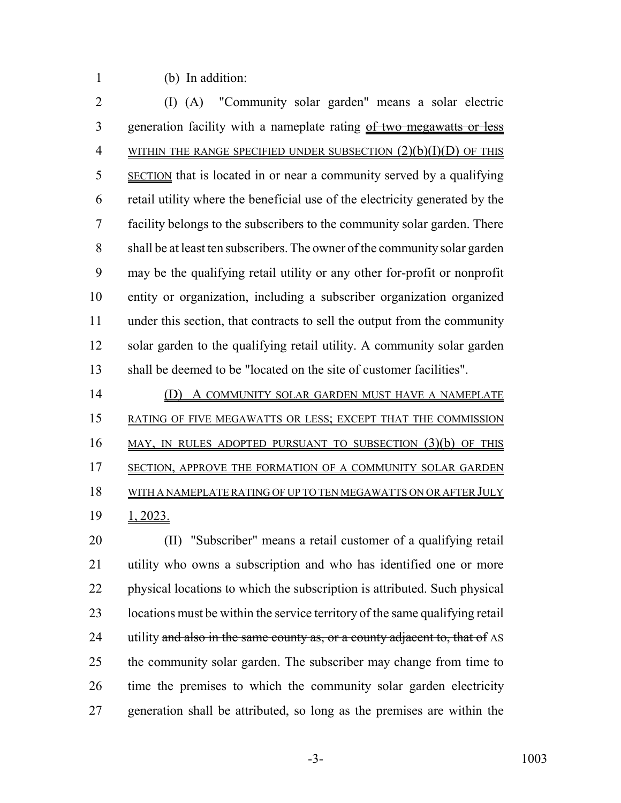(b) In addition:

 (I) (A) "Community solar garden" means a solar electric 3 generation facility with a nameplate rating of two megawatts or less 4 WITHIN THE RANGE SPECIFIED UNDER SUBSECTION  $(2)(b)(I)(D)$  OF THIS SECTION that is located in or near a community served by a qualifying retail utility where the beneficial use of the electricity generated by the facility belongs to the subscribers to the community solar garden. There shall be at least ten subscribers. The owner of the community solar garden may be the qualifying retail utility or any other for-profit or nonprofit entity or organization, including a subscriber organization organized under this section, that contracts to sell the output from the community solar garden to the qualifying retail utility. A community solar garden shall be deemed to be "located on the site of customer facilities".

14 (D) A COMMUNITY SOLAR GARDEN MUST HAVE A NAMEPLATE RATING OF FIVE MEGAWATTS OR LESS; EXCEPT THAT THE COMMISSION MAY, IN RULES ADOPTED PURSUANT TO SUBSECTION (3)(b) OF THIS 17 SECTION, APPROVE THE FORMATION OF A COMMUNITY SOLAR GARDEN WITH A NAMEPLATE RATING OF UP TO TEN MEGAWATTS ON OR AFTER JULY 1, 2023.

 (II) "Subscriber" means a retail customer of a qualifying retail utility who owns a subscription and who has identified one or more physical locations to which the subscription is attributed. Such physical 23 locations must be within the service territory of the same qualifying retail 24 utility and also in the same county as, or a county adjacent to, that of AS the community solar garden. The subscriber may change from time to time the premises to which the community solar garden electricity generation shall be attributed, so long as the premises are within the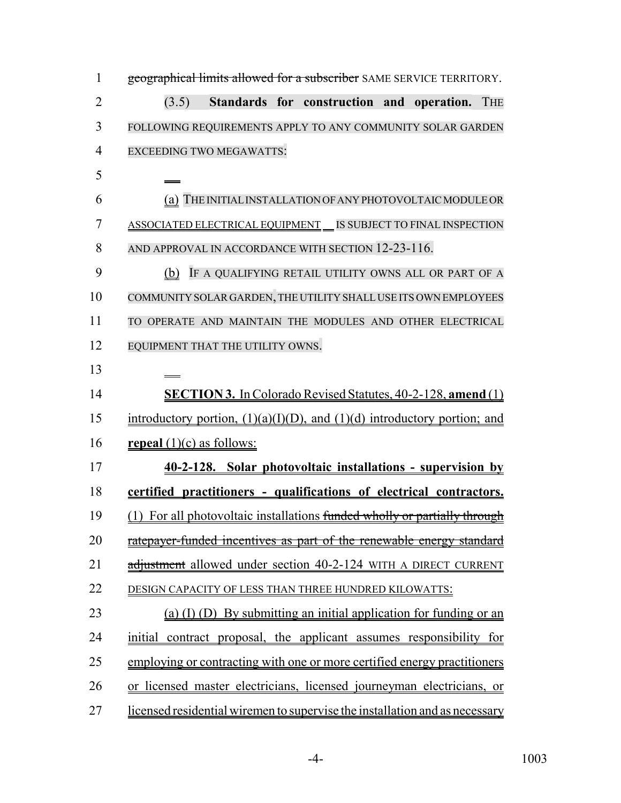| $\mathbf{1}$   | geographical limits allowed for a subscriber SAME SERVICE TERRITORY.          |
|----------------|-------------------------------------------------------------------------------|
| $\overline{2}$ | Standards for construction and operation. THE<br>(3.5)                        |
| 3              | FOLLOWING REQUIREMENTS APPLY TO ANY COMMUNITY SOLAR GARDEN                    |
| $\overline{4}$ | <b>EXCEEDING TWO MEGAWATTS:</b>                                               |
| 5              |                                                                               |
| 6              | (a) THE INITIAL INSTALLATION OF ANY PHOTOVOLTAIC MODULE OR                    |
| 7              | <b>ASSOCIATED ELECTRICAL EQUIPMENT __ IS SUBJECT TO FINAL INSPECTION</b>      |
| 8              | AND APPROVAL IN ACCORDANCE WITH SECTION 12-23-116.                            |
| 9              | (b) IF A QUALIFYING RETAIL UTILITY OWNS ALL OR PART OF A                      |
| 10             | COMMUNITY SOLAR GARDEN, THE UTILITY SHALL USE ITS OWN EMPLOYEES               |
| 11             | TO OPERATE AND MAINTAIN THE MODULES AND OTHER ELECTRICAL                      |
| 12             | EQUIPMENT THAT THE UTILITY OWNS.                                              |
| 13             |                                                                               |
| 14             | <b>SECTION 3.</b> In Colorado Revised Statutes, 40-2-128, amend (1)           |
| 15             | introductory portion, $(1)(a)(I)(D)$ , and $(1)(d)$ introductory portion; and |
| 16             | <b>repeal</b> $(1)(c)$ as follows:                                            |
| 17             | 40-2-128. Solar photovoltaic installations - supervision by                   |
| 18             | certified practitioners - qualifications of electrical contractors.           |
| 19             | (1) For all photovoltaic installations funded wholly or partially through     |
| 20             | ratepayer-funded incentives as part of the renewable energy standard          |
| 21             | adjustment allowed under section 40-2-124 WITH A DIRECT CURRENT               |
| 22             | DESIGN CAPACITY OF LESS THAN THREE HUNDRED KILOWATTS:                         |
| 23             | (a) (I) (D) By submitting an initial application for funding or an            |
| 24             | initial contract proposal, the applicant assumes responsibility for           |
| 25             | employing or contracting with one or more certified energy practitioners      |
| 26             | or licensed master electricians, licensed journeyman electricians, or         |
| 27             | licensed residential wiremen to supervise the installation and as necessary   |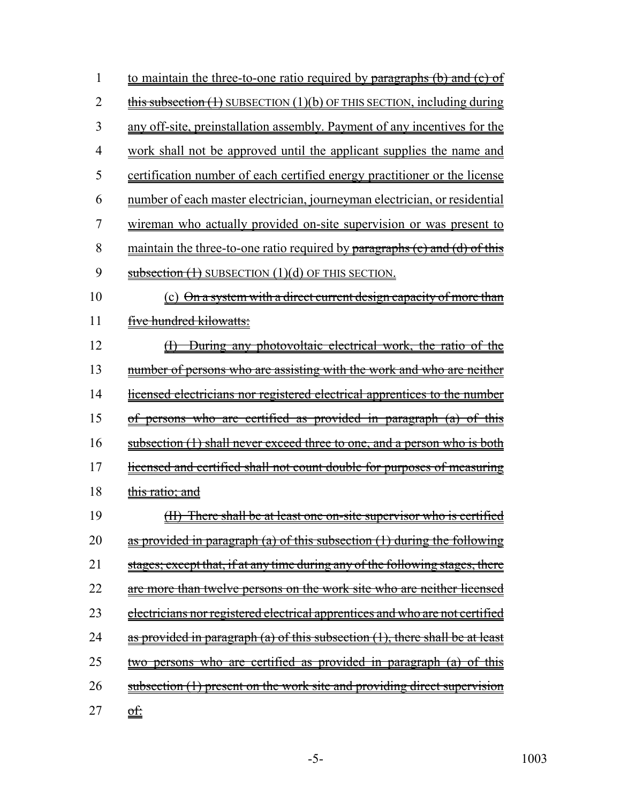| 1              | to maintain the three-to-one ratio required by paragraphs (b) and (c) of                                         |
|----------------|------------------------------------------------------------------------------------------------------------------|
| $\overline{2}$ | $\frac{f}{g}$ this subsection $(1)$ SUBSECTION $(1)(b)$ OF THIS SECTION, including during                        |
| 3              | any off-site, preinstallation assembly. Payment of any incentives for the                                        |
| 4              | work shall not be approved until the applicant supplies the name and                                             |
| 5              | certification number of each certified energy practitioner or the license                                        |
| 6              | number of each master electrician, journeyman electrician, or residential                                        |
| 7              | wireman who actually provided on-site supervision or was present to                                              |
| 8              | maintain the three-to-one ratio required by paragraphs (c) and (d) of this                                       |
| 9              | subsection $(1)$ SUBSECTION $(1)(d)$ OF THIS SECTION.                                                            |
| 10             | (c) On a system with a direct current design capacity of more than                                               |
| 11             | five hundred kilowatts:                                                                                          |
| 12             | During any photovoltaic electrical work, the ratio of the<br>H                                                   |
| 13             | number of persons who are assisting with the work and who are neither                                            |
| 14             | <u>licensed electricians nor registered electrical apprentices to the number</u>                                 |
| 15             | persons who are certified as provided in paragraph (a)<br><del>of</del><br><del>this</del><br>$\theta^{\dagger}$ |
| 16             | subsection (1) shall never exceed three to one, and a person who is both                                         |
| 17             | licensed and certified shall not count double for purposes of measuring                                          |
| 18             | this ratio; and                                                                                                  |
| 19             | There shall be at least one on-site supervisor who is certified<br><del>(II)</del>                               |
| 20             | as provided in paragraph (a) of this subsection (1) during the following                                         |
| 21             | stages; except that, if at any time during any of the following stages, there                                    |
| 22             | are more than twelve persons on the work site who are neither licensed                                           |
| 23             | <u>electricians nor registered electrical apprentices and who are not certified</u>                              |
| 24             | as provided in paragraph (a) of this subsection (1), there shall be at least                                     |
| 25             | who are certified as provided in paragraph (a)<br><del>persons-</del><br>-0t<br>this                             |
| 26             | subsection (1) present on the work site and providing direct supervision                                         |
| 27             | <u>of:</u>                                                                                                       |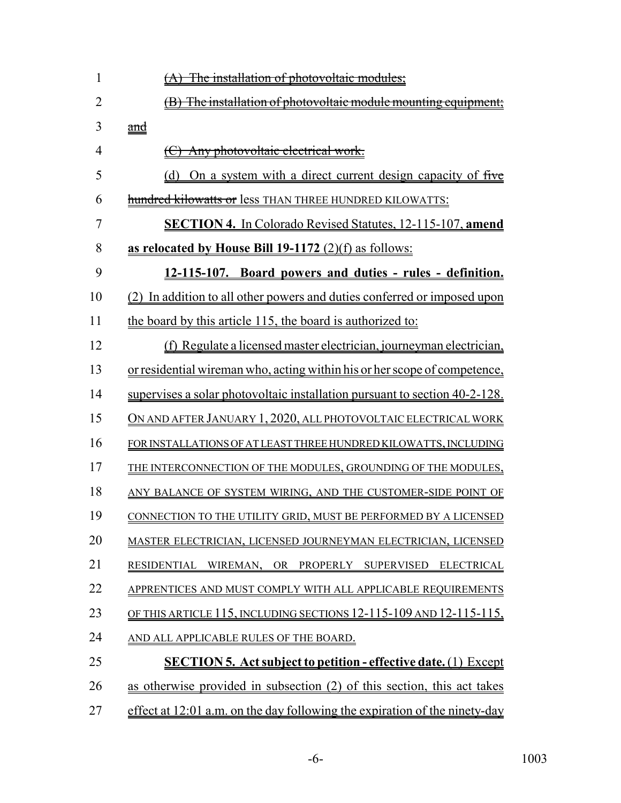| 1              | The installation of photovoltaic modules;                                  |
|----------------|----------------------------------------------------------------------------|
| $\overline{2}$ | (B) The installation of photovoltaic module mounting equipment;            |
| 3              | and                                                                        |
| 4              | Any photovoltaic electrical work.                                          |
| 5              | On a system with a direct current design capacity of five<br>(d)           |
| 6              | hundred kilowatts or less THAN THREE HUNDRED KILOWATTS:                    |
| 7              | <b>SECTION 4.</b> In Colorado Revised Statutes, 12-115-107, amend          |
| 8              | as relocated by House Bill $19-1172$ (2)(f) as follows:                    |
| 9              | 12-115-107. Board powers and duties - rules - definition.                  |
| 10             | (2) In addition to all other powers and duties conferred or imposed upon   |
| 11             | the board by this article 115, the board is authorized to:                 |
| 12             | (f) Regulate a licensed master electrician, journeyman electrician,        |
| 13             | or residential wireman who, acting within his or her scope of competence,  |
| 14             | supervises a solar photovoltaic installation pursuant to section 40-2-128. |
| 15             | ON AND AFTER JANUARY 1, 2020, ALL PHOTOVOLTAIC ELECTRICAL WORK             |
| 16             | FOR INSTALLATIONS OF AT LEAST THREE HUNDRED KILOWATTS, INCLUDING           |
| 17             | THE INTERCONNECTION OF THE MODULES, GROUNDING OF THE MODULES,              |
| 18             | ANY BALANCE OF SYSTEM WIRING, AND THE CUSTOMER-SIDE POINT OF               |
| 19             | CONNECTION TO THE UTILITY GRID, MUST BE PERFORMED BY A LICENSED            |
| 20             | MASTER ELECTRICIAN, LICENSED JOURNEYMAN ELECTRICIAN, LICENSED              |
| 21             | RESIDENTIAL WIREMAN, OR PROPERLY SUPERVISED ELECTRICAL                     |
| 22             | APPRENTICES AND MUST COMPLY WITH ALL APPLICABLE REQUIREMENTS               |
| 23             | OF THIS ARTICLE 115, INCLUDING SECTIONS 12-115-109 AND 12-115-115,         |
| 24             | AND ALL APPLICABLE RULES OF THE BOARD.                                     |
| 25             | <b>SECTION 5. Act subject to petition - effective date.</b> (1) Except     |
| 26             | as otherwise provided in subsection (2) of this section, this act takes    |
| 27             | effect at 12:01 a.m. on the day following the expiration of the ninety-day |